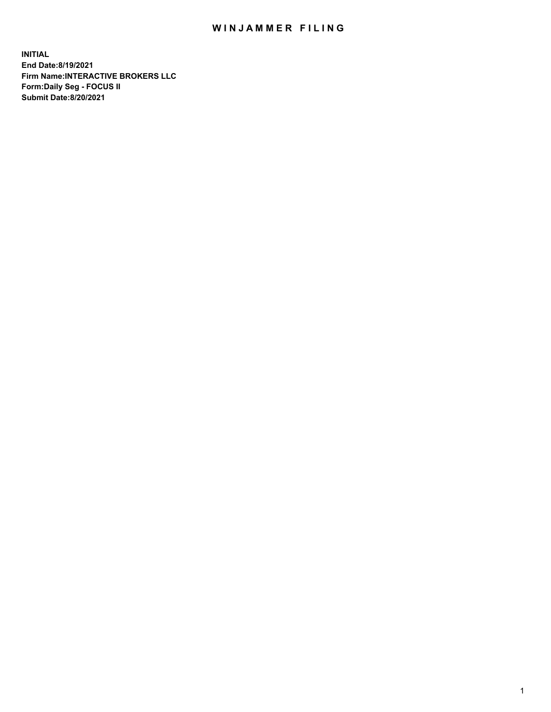## WIN JAMMER FILING

**INITIAL End Date:8/19/2021 Firm Name:INTERACTIVE BROKERS LLC Form:Daily Seg - FOCUS II Submit Date:8/20/2021**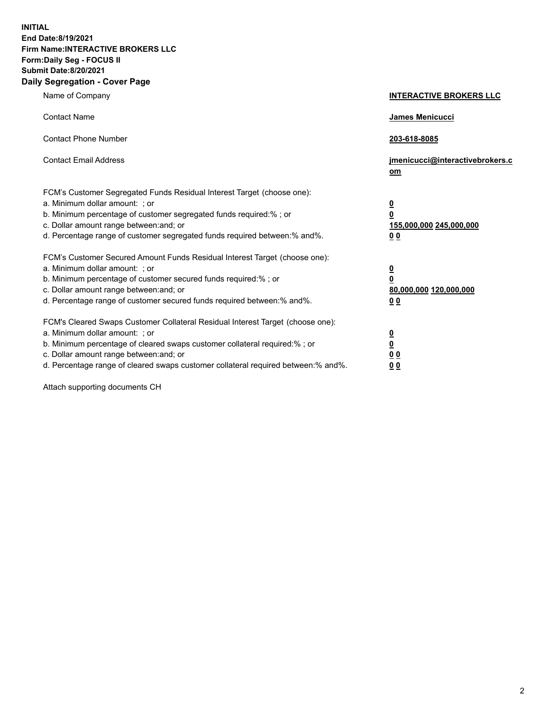**INITIAL End Date:8/19/2021 Firm Name:INTERACTIVE BROKERS LLC Form:Daily Seg - FOCUS II Submit Date:8/20/2021 Daily Segregation - Cover Page**

| Name of Company                                                                                                                                                                                                                                                                                                                | <b>INTERACTIVE BROKERS LLC</b>                                                   |  |
|--------------------------------------------------------------------------------------------------------------------------------------------------------------------------------------------------------------------------------------------------------------------------------------------------------------------------------|----------------------------------------------------------------------------------|--|
| <b>Contact Name</b>                                                                                                                                                                                                                                                                                                            | James Menicucci                                                                  |  |
| <b>Contact Phone Number</b>                                                                                                                                                                                                                                                                                                    | 203-618-8085                                                                     |  |
| <b>Contact Email Address</b>                                                                                                                                                                                                                                                                                                   | jmenicucci@interactivebrokers.c<br>om                                            |  |
| FCM's Customer Segregated Funds Residual Interest Target (choose one):<br>a. Minimum dollar amount: ; or<br>b. Minimum percentage of customer segregated funds required:% ; or<br>c. Dollar amount range between: and; or<br>d. Percentage range of customer segregated funds required between:% and%.                         | <u>0</u><br>$\overline{\mathbf{0}}$<br>155,000,000 245,000,000<br>0 <sub>0</sub> |  |
| FCM's Customer Secured Amount Funds Residual Interest Target (choose one):<br>a. Minimum dollar amount: ; or<br>b. Minimum percentage of customer secured funds required:% ; or<br>c. Dollar amount range between: and; or<br>d. Percentage range of customer secured funds required between:% and%.                           | <u>0</u><br>$\overline{\mathbf{0}}$<br>80,000,000 120,000,000<br>0 <sub>0</sub>  |  |
| FCM's Cleared Swaps Customer Collateral Residual Interest Target (choose one):<br>a. Minimum dollar amount: ; or<br>b. Minimum percentage of cleared swaps customer collateral required:% ; or<br>c. Dollar amount range between: and; or<br>d. Percentage range of cleared swaps customer collateral required between:% and%. | <u>0</u><br>$\underline{\mathbf{0}}$<br>0 <sub>0</sub><br>0 <sub>0</sub>         |  |

Attach supporting documents CH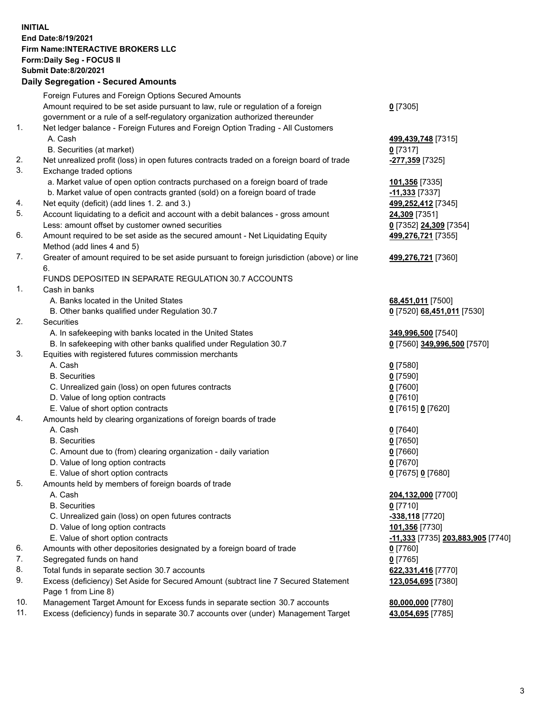**INITIAL End Date:8/19/2021 Firm Name:INTERACTIVE BROKERS LLC Form:Daily Seg - FOCUS II Submit Date:8/20/2021 Daily Segregation - Secured Amounts**

## Foreign Futures and Foreign Options Secured Amounts Amount required to be set aside pursuant to law, rule or regulation of a foreign government or a rule of a self-regulatory organization authorized thereunder **0** [7305] 1. Net ledger balance - Foreign Futures and Foreign Option Trading - All Customers A. Cash **499,439,748** [7315] B. Securities (at market) **0** [7317] 2. Net unrealized profit (loss) in open futures contracts traded on a foreign board of trade **-277,359** [7325] 3. Exchange traded options a. Market value of open option contracts purchased on a foreign board of trade **101,356** [7335] b. Market value of open contracts granted (sold) on a foreign board of trade **-11,333** [7337] 4. Net equity (deficit) (add lines 1. 2. and 3.) **499,252,412** [7345] 5. Account liquidating to a deficit and account with a debit balances - gross amount **24,309** [7351] Less: amount offset by customer owned securities **0** [7352] **24,309** [7354] 6. Amount required to be set aside as the secured amount - Net Liquidating Equity Method (add lines 4 and 5) **499,276,721** [7355] 7. Greater of amount required to be set aside pursuant to foreign jurisdiction (above) or line 6. **499,276,721** [7360] FUNDS DEPOSITED IN SEPARATE REGULATION 30.7 ACCOUNTS 1. Cash in banks A. Banks located in the United States **68,451,011** [7500] B. Other banks qualified under Regulation 30.7 **0** [7520] **68,451,011** [7530] 2. Securities A. In safekeeping with banks located in the United States **349,996,500** [7540] B. In safekeeping with other banks qualified under Regulation 30.7 **0** [7560] **349,996,500** [7570] 3. Equities with registered futures commission merchants A. Cash **0** [7580] B. Securities **0** [7590] C. Unrealized gain (loss) on open futures contracts **0** [7600] D. Value of long option contracts **0** [7610] E. Value of short option contracts **0** [7615] **0** [7620] 4. Amounts held by clearing organizations of foreign boards of trade A. Cash **0** [7640] B. Securities **0** [7650] C. Amount due to (from) clearing organization - daily variation **0** [7660] D. Value of long option contracts **0** [7670] E. Value of short option contracts **0** [7675] **0** [7680] 5. Amounts held by members of foreign boards of trade A. Cash **204,132,000** [7700] B. Securities **0** [7710] C. Unrealized gain (loss) on open futures contracts **-338,118** [7720] D. Value of long option contracts **101,356** [7730] E. Value of short option contracts **-11,333** [7735] **203,883,905** [7740] 6. Amounts with other depositories designated by a foreign board of trade **0** [7760] 7. Segregated funds on hand **0** [7765] 8. Total funds in separate section 30.7 accounts **622,331,416** [7770] 9. Excess (deficiency) Set Aside for Secured Amount (subtract line 7 Secured Statement Page 1 from Line 8) **123,054,695** [7380] 10. Management Target Amount for Excess funds in separate section 30.7 accounts **80,000,000** [7780] 11. Excess (deficiency) funds in separate 30.7 accounts over (under) Management Target **43,054,695** [7785]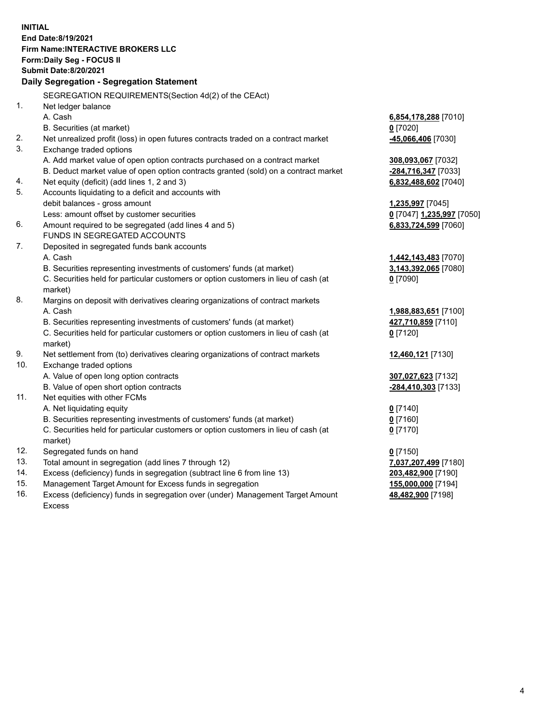**INITIAL End Date:8/19/2021 Firm Name:INTERACTIVE BROKERS LLC Form:Daily Seg - FOCUS II Submit Date:8/20/2021 Daily Segregation - Segregation Statement** SEGREGATION REQUIREMENTS(Section 4d(2) of the CEAct) 1. Net ledger balance A. Cash **6,854,178,288** [7010] B. Securities (at market) **0** [7020] 2. Net unrealized profit (loss) in open futures contracts traded on a contract market **-45,066,406** [7030] 3. Exchange traded options A. Add market value of open option contracts purchased on a contract market **308,093,067** [7032] B. Deduct market value of open option contracts granted (sold) on a contract market **-284,716,347** [7033] 4. Net equity (deficit) (add lines 1, 2 and 3) **6,832,488,602** [7040] 5. Accounts liquidating to a deficit and accounts with debit balances - gross amount **1,235,997** [7045] Less: amount offset by customer securities **0** [7047] **1,235,997** [7050] 6. Amount required to be segregated (add lines 4 and 5) **6,833,724,599** [7060] FUNDS IN SEGREGATED ACCOUNTS 7. Deposited in segregated funds bank accounts A. Cash **1,442,143,483** [7070] B. Securities representing investments of customers' funds (at market) **3,143,392,065** [7080] C. Securities held for particular customers or option customers in lieu of cash (at market) **0** [7090] 8. Margins on deposit with derivatives clearing organizations of contract markets A. Cash **1,988,883,651** [7100] B. Securities representing investments of customers' funds (at market) **427,710,859** [7110] C. Securities held for particular customers or option customers in lieu of cash (at market) **0** [7120] 9. Net settlement from (to) derivatives clearing organizations of contract markets **12,460,121** [7130] 10. Exchange traded options A. Value of open long option contracts **307,027,623** [7132] B. Value of open short option contracts **-284,410,303** [7133] 11. Net equities with other FCMs A. Net liquidating equity **0** [7140] B. Securities representing investments of customers' funds (at market) **0** [7160] C. Securities held for particular customers or option customers in lieu of cash (at market) **0** [7170] 12. Segregated funds on hand **0** [7150] 13. Total amount in segregation (add lines 7 through 12) **7,037,207,499** [7180] 14. Excess (deficiency) funds in segregation (subtract line 6 from line 13) **203,482,900** [7190] 15. Management Target Amount for Excess funds in segregation **155,000,000** [7194] **48,482,900** [7198]

16. Excess (deficiency) funds in segregation over (under) Management Target Amount Excess